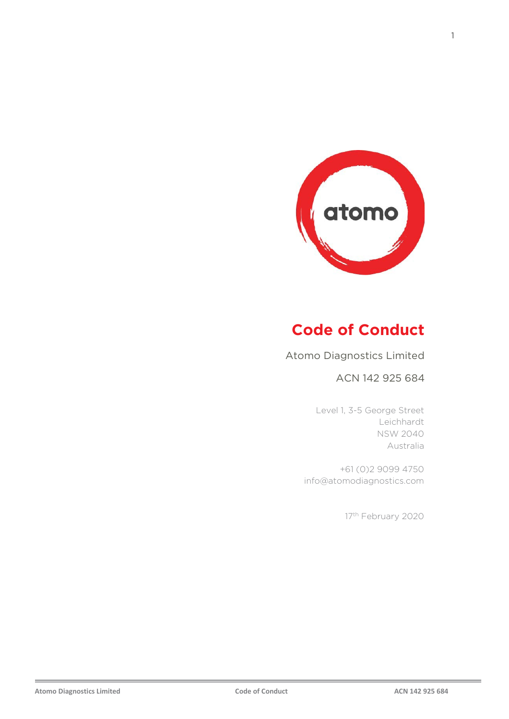

# **Code of Conduct**

### Atomo Diagnostics Limited

#### ACN 142 925 684

Level 1, 3-5 George Street Leichhardt NSW 2040 Australia

+61 (0)2 9099 4750 info@atomodiagnostics.com

17<sup>th</sup> February 2020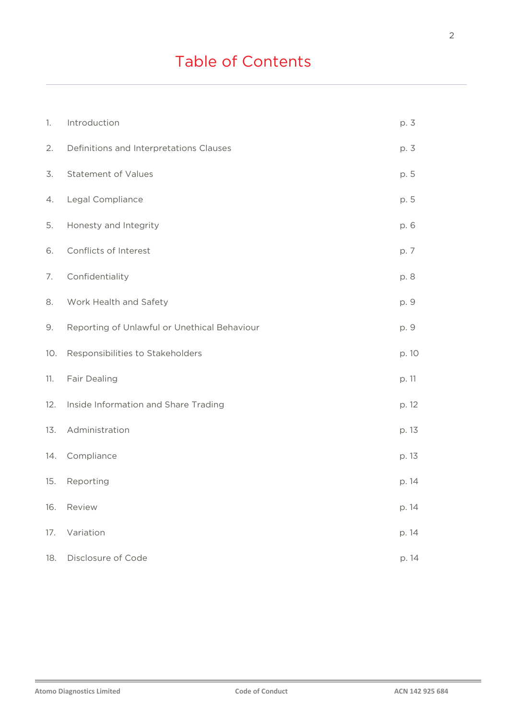# Table of Contents

| 1.  | Introduction                                 | p. 3  |
|-----|----------------------------------------------|-------|
| 2.  | Definitions and Interpretations Clauses      | p. 3  |
| 3.  | <b>Statement of Values</b>                   | p. 5  |
| 4.  | Legal Compliance                             | p. 5  |
| 5.  | Honesty and Integrity                        | p. 6  |
| 6.  | Conflicts of Interest                        | p. 7  |
| 7.  | Confidentiality                              | p. 8  |
| 8.  | Work Health and Safety                       | p. 9  |
| 9.  | Reporting of Unlawful or Unethical Behaviour | p. 9  |
| 10. | Responsibilities to Stakeholders             | p. 10 |
| 11. | Fair Dealing                                 | p. 11 |
| 12. | Inside Information and Share Trading         | p. 12 |
| 13. | Administration                               | p. 13 |
| 14. | Compliance                                   | p. 13 |
| 15. | Reporting                                    | p. 14 |
| 16. | Review                                       | p. 14 |
| 17. | Variation                                    | p. 14 |
| 18. | Disclosure of Code                           | p. 14 |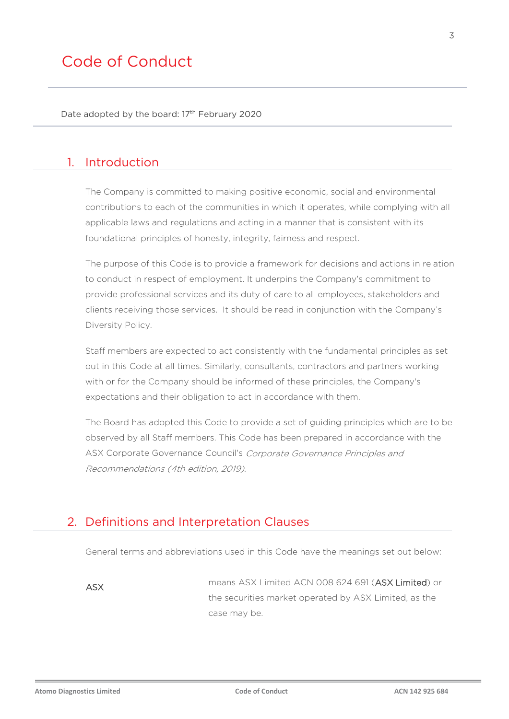Date adopted by the board: 17<sup>th</sup> February 2020

## 1. Introduction

The Company is committed to making positive economic, social and environmental contributions to each of the communities in which it operates, while complying with all applicable laws and regulations and acting in a manner that is consistent with its foundational principles of honesty, integrity, fairness and respect.

The purpose of this Code is to provide a framework for decisions and actions in relation to conduct in respect of employment. It underpins the Company's commitment to provide professional services and its duty of care to all employees, stakeholders and clients receiving those services. It should be read in conjunction with the Company's Diversity Policy.

Staff members are expected to act consistently with the fundamental principles as set out in this Code at all times. Similarly, consultants, contractors and partners working with or for the Company should be informed of these principles, the Company's expectations and their obligation to act in accordance with them.

The Board has adopted this Code to provide a set of guiding principles which are to be observed by all Staff members. This Code has been prepared in accordance with the ASX Corporate Governance Council's Corporate Governance Principles and Recommendations (4th edition, 2019).

### 2. Definitions and Interpretation Clauses

General terms and abbreviations used in this Code have the meanings set out below:

ASX means ASX Limited ACN 008 624 691 (ASX Limited) or the securities market operated by ASX Limited, as the case may be.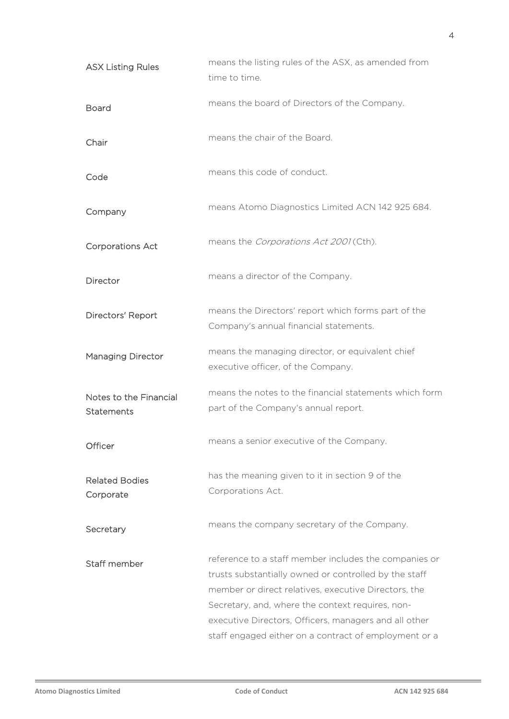| means the listing rules of the ASX, as amended from<br>time to time.                                                                                                                                                                                                                |
|-------------------------------------------------------------------------------------------------------------------------------------------------------------------------------------------------------------------------------------------------------------------------------------|
| means the board of Directors of the Company.                                                                                                                                                                                                                                        |
| means the chair of the Board.                                                                                                                                                                                                                                                       |
| means this code of conduct.                                                                                                                                                                                                                                                         |
| means Atomo Diagnostics Limited ACN 142 925 684.                                                                                                                                                                                                                                    |
| means the Corporations Act 2001 (Cth).                                                                                                                                                                                                                                              |
| means a director of the Company.                                                                                                                                                                                                                                                    |
| means the Directors' report which forms part of the<br>Company's annual financial statements.                                                                                                                                                                                       |
| means the managing director, or equivalent chief<br>executive officer, of the Company.                                                                                                                                                                                              |
| means the notes to the financial statements which form<br>part of the Company's annual report.                                                                                                                                                                                      |
| means a senior executive of the Company.                                                                                                                                                                                                                                            |
| has the meaning given to it in section 9 of the<br>Corporations Act.                                                                                                                                                                                                                |
| means the company secretary of the Company.                                                                                                                                                                                                                                         |
| reference to a staff member includes the companies or<br>trusts substantially owned or controlled by the staff<br>member or direct relatives, executive Directors, the<br>Secretary, and, where the context requires, non-<br>executive Directors, Officers, managers and all other |
|                                                                                                                                                                                                                                                                                     |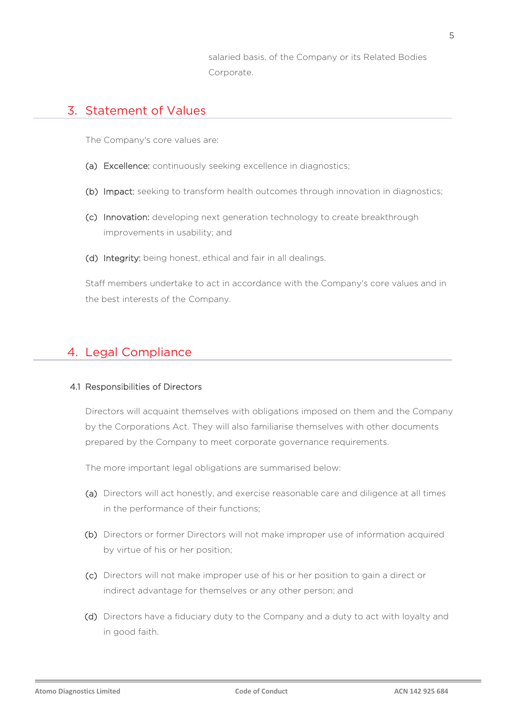salaried basis, of the Company or its Related Bodies Corporate.

### 3. Statement of Values

The Company's core values are:

- (a) Excellence: continuously seeking excellence in diagnostics;
- (b) Impact: seeking to transform health outcomes through innovation in diagnostics;
- (c) Innovation: developing next generation technology to create breakthrough improvements in usability; and
- (d) Integrity: being honest, ethical and fair in all dealings.

Staff members undertake to act in accordance with the Company's core values and in the best interests of the Company.

# 4. Legal Compliance

#### 4.1 Responsibilities of Directors

Directors will acquaint themselves with obligations imposed on them and the Company by the Corporations Act. They will also familiarise themselves with other documents prepared by the Company to meet corporate governance requirements.

The more important legal obligations are summarised below:

- (a) Directors will act honestly, and exercise reasonable care and diligence at all times in the performance of their functions;
- (b) Directors or former Directors will not make improper use of information acquired by virtue of his or her position;
- (c) Directors will not make improper use of his or her position to gain a direct or indirect advantage for themselves or any other person; and
- (d) Directors have a fiduciary duty to the Company and a duty to act with loyalty and in good faith.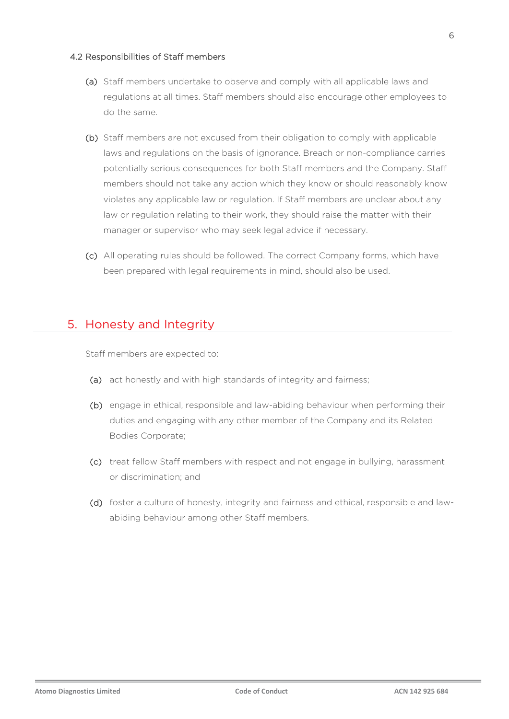#### 4.2 Responsibilities of Staff members

- (a) Staff members undertake to observe and comply with all applicable laws and regulations at all times. Staff members should also encourage other employees to do the same.
- (b) Staff members are not excused from their obligation to comply with applicable laws and regulations on the basis of ignorance. Breach or non-compliance carries potentially serious consequences for both Staff members and the Company. Staff members should not take any action which they know or should reasonably know violates any applicable law or regulation. If Staff members are unclear about any law or regulation relating to their work, they should raise the matter with their manager or supervisor who may seek legal advice if necessary.
- (c) All operating rules should be followed. The correct Company forms, which have been prepared with legal requirements in mind, should also be used.

# 5. Honesty and Integrity

Staff members are expected to:

- (a) act honestly and with high standards of integrity and fairness;
- (b) engage in ethical, responsible and law-abiding behaviour when performing their duties and engaging with any other member of the Company and its Related Bodies Corporate;
- (c) treat fellow Staff members with respect and not engage in bullying, harassment or discrimination; and
- (d) foster a culture of honesty, integrity and fairness and ethical, responsible and lawabiding behaviour among other Staff members.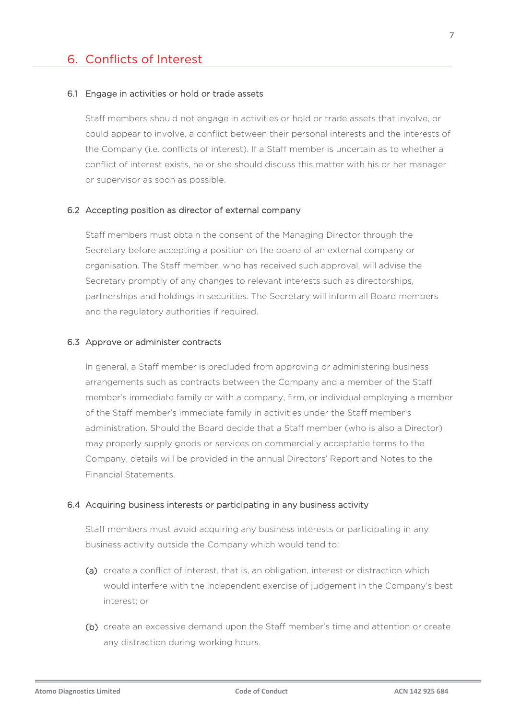### 6. Conflicts of Interest

#### 6.1 Engage in activities or hold or trade assets

Staff members should not engage in activities or hold or trade assets that involve, or could appear to involve, a conflict between their personal interests and the interests of the Company (i.e. conflicts of interest). If a Staff member is uncertain as to whether a conflict of interest exists, he or she should discuss this matter with his or her manager or supervisor as soon as possible.

#### 6.2 Accepting position as director of external company

Staff members must obtain the consent of the Managing Director through the Secretary before accepting a position on the board of an external company or organisation. The Staff member, who has received such approval, will advise the Secretary promptly of any changes to relevant interests such as directorships, partnerships and holdings in securities. The Secretary will inform all Board members and the regulatory authorities if required.

#### 6.3 Approve or administer contracts

In general, a Staff member is precluded from approving or administering business arrangements such as contracts between the Company and a member of the Staff member's immediate family or with a company, firm, or individual employing a member of the Staff member's immediate family in activities under the Staff member's administration. Should the Board decide that a Staff member (who is also a Director) may properly supply goods or services on commercially acceptable terms to the Company, details will be provided in the annual Directors' Report and Notes to the Financial Statements.

#### 6.4 Acquiring business interests or participating in any business activity

Staff members must avoid acquiring any business interests or participating in any business activity outside the Company which would tend to:

- (a) create a conflict of interest, that is, an obligation, interest or distraction which would interfere with the independent exercise of judgement in the Company's best interest; or
- (b) create an excessive demand upon the Staff member's time and attention or create any distraction during working hours.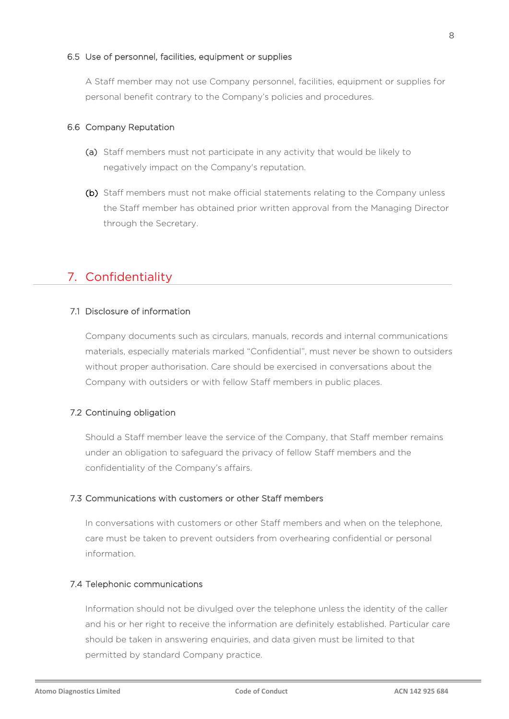#### 6.5 Use of personnel, facilities, equipment or supplies

A Staff member may not use Company personnel, facilities, equipment or supplies for personal benefit contrary to the Company's policies and procedures.

#### 6.6 Company Reputation

- (a) Staff members must not participate in any activity that would be likely to negatively impact on the Company's reputation.
- (b) Staff members must not make official statements relating to the Company unless the Staff member has obtained prior written approval from the Managing Director through the Secretary.

# 7. Confidentiality

#### 7.1 Disclosure of information

Company documents such as circulars, manuals, records and internal communications materials, especially materials marked "Confidential", must never be shown to outsiders without proper authorisation. Care should be exercised in conversations about the Company with outsiders or with fellow Staff members in public places.

#### 7.2 Continuing obligation

Should a Staff member leave the service of the Company, that Staff member remains under an obligation to safeguard the privacy of fellow Staff members and the confidentiality of the Company's affairs.

#### 7.3 Communications with customers or other Staff members

In conversations with customers or other Staff members and when on the telephone, care must be taken to prevent outsiders from overhearing confidential or personal information.

#### 7.4 Telephonic communications

Information should not be divulged over the telephone unless the identity of the caller and his or her right to receive the information are definitely established. Particular care should be taken in answering enquiries, and data given must be limited to that permitted by standard Company practice.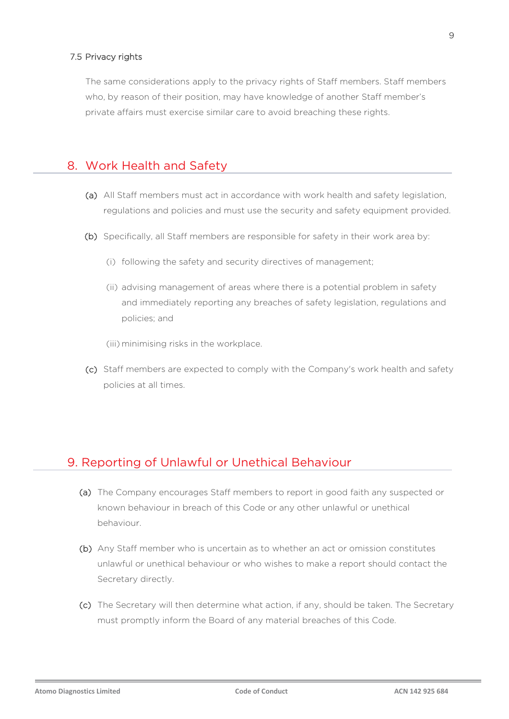#### 7.5 Privacy rights

The same considerations apply to the privacy rights of Staff members. Staff members who, by reason of their position, may have knowledge of another Staff member's private affairs must exercise similar care to avoid breaching these rights.

### 8. Work Health and Safety

- (a) All Staff members must act in accordance with work health and safety legislation, regulations and policies and must use the security and safety equipment provided.
- (b) Specifically, all Staff members are responsible for safety in their work area by:
	- (i) following the safety and security directives of management;
	- (ii) advising management of areas where there is a potential problem in safety and immediately reporting any breaches of safety legislation, regulations and policies; and

(iii) minimising risks in the workplace.

(c) Staff members are expected to comply with the Company's work health and safety policies at all times.

### 9. Reporting of Unlawful or Unethical Behaviour

- (a) The Company encourages Staff members to report in good faith any suspected or known behaviour in breach of this Code or any other unlawful or unethical behaviour.
- (b) Any Staff member who is uncertain as to whether an act or omission constitutes unlawful or unethical behaviour or who wishes to make a report should contact the Secretary directly.
- (c) The Secretary will then determine what action, if any, should be taken. The Secretary must promptly inform the Board of any material breaches of this Code.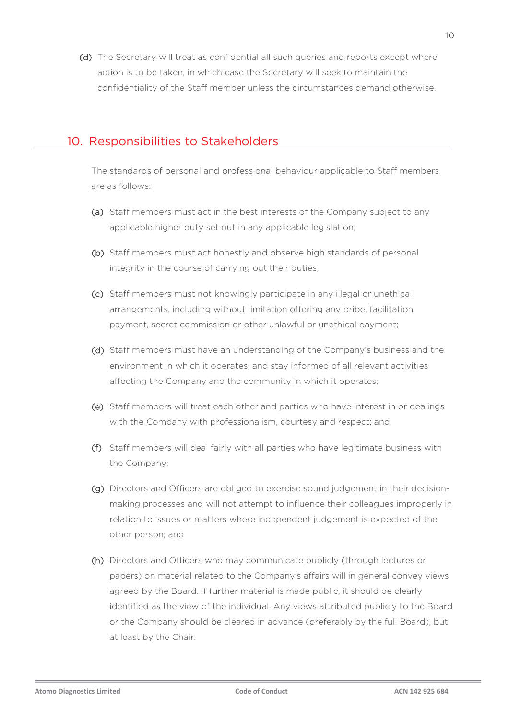(d) The Secretary will treat as confidential all such queries and reports except where action is to be taken, in which case the Secretary will seek to maintain the confidentiality of the Staff member unless the circumstances demand otherwise.

# 10. Responsibilities to Stakeholders

The standards of personal and professional behaviour applicable to Staff members are as follows:

- (a) Staff members must act in the best interests of the Company subject to any applicable higher duty set out in any applicable legislation;
- (b) Staff members must act honestly and observe high standards of personal integrity in the course of carrying out their duties;
- (c) Staff members must not knowingly participate in any illegal or unethical arrangements, including without limitation offering any bribe, facilitation payment, secret commission or other unlawful or unethical payment;
- (d) Staff members must have an understanding of the Company's business and the environment in which it operates, and stay informed of all relevant activities affecting the Company and the community in which it operates;
- (e) Staff members will treat each other and parties who have interest in or dealings with the Company with professionalism, courtesy and respect; and
- (f) Staff members will deal fairly with all parties who have legitimate business with the Company;
- (g) Directors and Officers are obliged to exercise sound judgement in their decisionmaking processes and will not attempt to influence their colleagues improperly in relation to issues or matters where independent judgement is expected of the other person; and
- (h) Directors and Officers who may communicate publicly (through lectures or papers) on material related to the Company's affairs will in general convey views agreed by the Board. If further material is made public, it should be clearly identified as the view of the individual. Any views attributed publicly to the Board or the Company should be cleared in advance (preferably by the full Board), but at least by the Chair.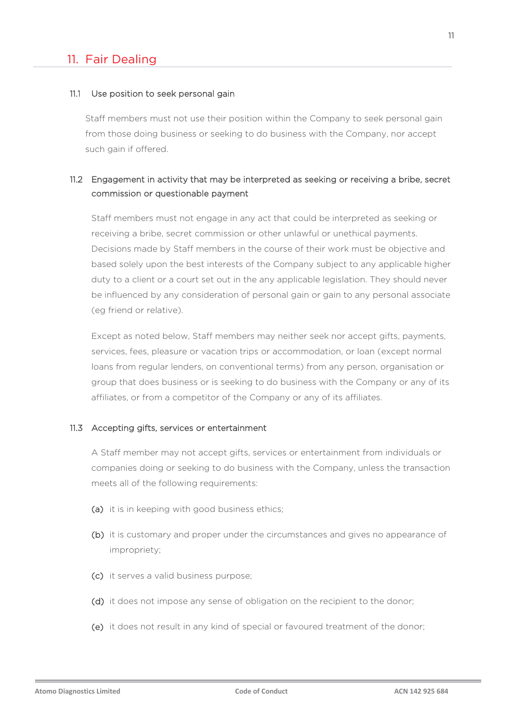## 11. Fair Dealing

#### 11.1 Use position to seek personal gain

Staff members must not use their position within the Company to seek personal gain from those doing business or seeking to do business with the Company, nor accept such gain if offered.

### 11.2 Engagement in activity that may be interpreted as seeking or receiving a bribe, secret commission or questionable payment

Staff members must not engage in any act that could be interpreted as seeking or receiving a bribe, secret commission or other unlawful or unethical payments. Decisions made by Staff members in the course of their work must be objective and based solely upon the best interests of the Company subject to any applicable higher duty to a client or a court set out in the any applicable legislation. They should never be influenced by any consideration of personal gain or gain to any personal associate (eg friend or relative).

Except as noted below, Staff members may neither seek nor accept gifts, payments, services, fees, pleasure or vacation trips or accommodation, or loan (except normal loans from regular lenders, on conventional terms) from any person, organisation or group that does business or is seeking to do business with the Company or any of its affiliates, or from a competitor of the Company or any of its affiliates.

#### 11.3 Accepting gifts, services or entertainment

A Staff member may not accept gifts, services or entertainment from individuals or companies doing or seeking to do business with the Company, unless the transaction meets all of the following requirements:

- (a) it is in keeping with good business ethics;
- (b) it is customary and proper under the circumstances and gives no appearance of impropriety;
- (c) it serves a valid business purpose;
- (d) it does not impose any sense of obligation on the recipient to the donor;
- (e) it does not result in any kind of special or favoured treatment of the donor;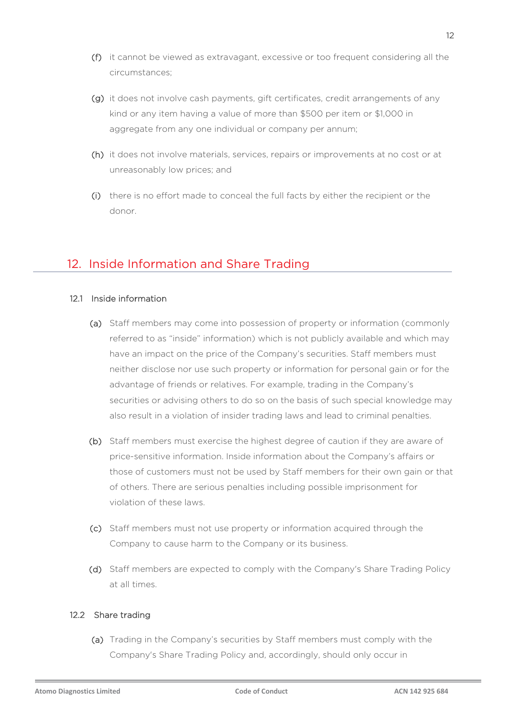- (f) it cannot be viewed as extravagant, excessive or too frequent considering all the circumstances;
- (g) it does not involve cash payments, gift certificates, credit arrangements of any kind or any item having a value of more than \$500 per item or \$1,000 in aggregate from any one individual or company per annum;
- (h) it does not involve materials, services, repairs or improvements at no cost or at unreasonably low prices; and
- (i) there is no effort made to conceal the full facts by either the recipient or the donor.

# 12. Inside Information and Share Trading

#### 12.1 Inside information

- (a) Staff members may come into possession of property or information (commonly referred to as "inside" information) which is not publicly available and which may have an impact on the price of the Company's securities. Staff members must neither disclose nor use such property or information for personal gain or for the advantage of friends or relatives. For example, trading in the Company's securities or advising others to do so on the basis of such special knowledge may also result in a violation of insider trading laws and lead to criminal penalties.
- (b) Staff members must exercise the highest degree of caution if they are aware of price-sensitive information. Inside information about the Company's affairs or those of customers must not be used by Staff members for their own gain or that of others. There are serious penalties including possible imprisonment for violation of these laws.
- (c) Staff members must not use property or information acquired through the Company to cause harm to the Company or its business.
- (d) Staff members are expected to comply with the Company's Share Trading Policy at all times.

#### 12.2 Share trading

(a) Trading in the Company's securities by Staff members must comply with the Company's Share Trading Policy and, accordingly, should only occur in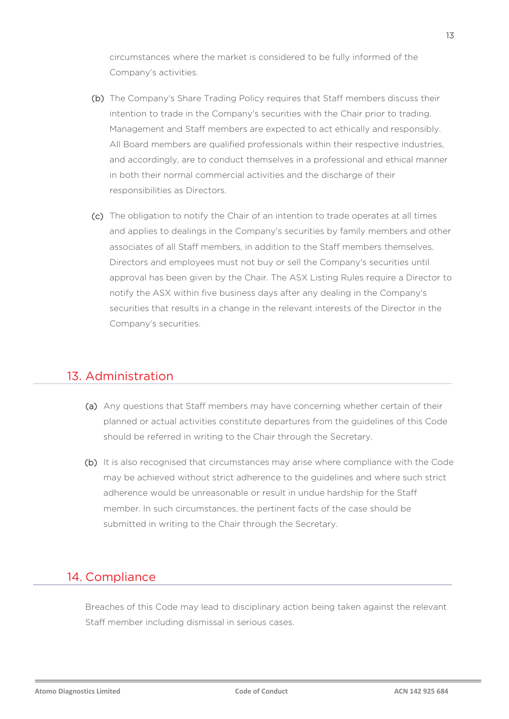circumstances where the market is considered to be fully informed of the Company's activities.

- (b) The Company's Share Trading Policy requires that Staff members discuss their intention to trade in the Company's securities with the Chair prior to trading. Management and Staff members are expected to act ethically and responsibly. All Board members are qualified professionals within their respective industries, and accordingly, are to conduct themselves in a professional and ethical manner in both their normal commercial activities and the discharge of their responsibilities as Directors.
- (c) The obligation to notify the Chair of an intention to trade operates at all times and applies to dealings in the Company's securities by family members and other associates of all Staff members, in addition to the Staff members themselves. Directors and employees must not buy or sell the Company's securities until approval has been given by the Chair. The ASX Listing Rules require a Director to notify the ASX within five business days after any dealing in the Company's securities that results in a change in the relevant interests of the Director in the Company's securities.

# 13. Administration

- (a) Any questions that Staff members may have concerning whether certain of their planned or actual activities constitute departures from the guidelines of this Code should be referred in writing to the Chair through the Secretary.
- (b) It is also recognised that circumstances may arise where compliance with the Code may be achieved without strict adherence to the guidelines and where such strict adherence would be unreasonable or result in undue hardship for the Staff member. In such circumstances, the pertinent facts of the case should be submitted in writing to the Chair through the Secretary.

# 14. Compliance

Breaches of this Code may lead to disciplinary action being taken against the relevant Staff member including dismissal in serious cases.